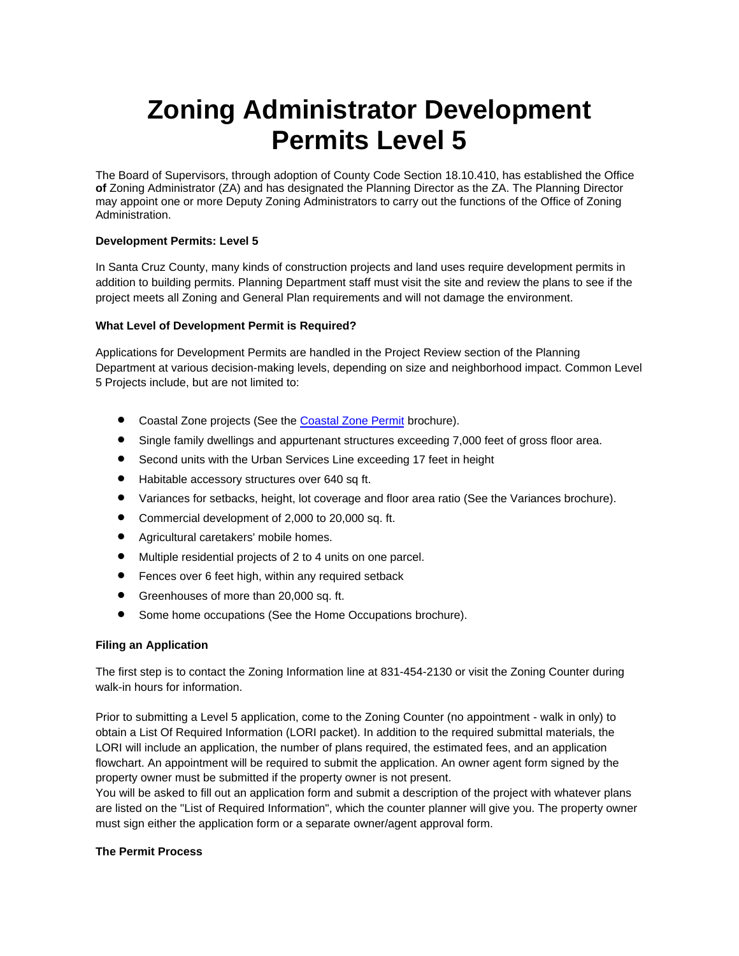# **Zoning Administrator Development Permits Level 5**

The Board of Supervisors, through adoption of County Code Section 18.10.410, has established the Office **of** Zoning Administrator (ZA) and has designated the Planning Director as the ZA. The Planning Director may appoint one or more Deputy Zoning Administrators to carry out the functions of the Office of Zoning Administration.

## **Development Permits: Level 5**

In Santa Cruz County, many kinds of construction projects and land uses require development permits in addition to building permits. Planning Department staff must visit the site and review the plans to see if the project meets all Zoning and General Plan requirements and will not damage the environment.

## **What Level of Development Permit is Required?**

Applications for Development Permits are handled in the Project Review section of the Planning Department at various decision-making levels, depending on size and neighborhood impact. Common Level 5 Projects include, but are not limited to:

- Coastal Zone projects (See the [Coastal Zone Permit](http://www.sccoplanning.com/PlanningHome/ZoningDevelopment/DevelopmentPermits/Level5ZoningAdministratorPermits/CoastalPermits/CoastalZonePermits.aspx) brochure).
- Single family dwellings and appurtenant structures exceeding 7,000 feet of gross floor area.
- Second units with the Urban Services Line exceeding 17 feet in height
- Habitable accessory structures over 640 sq ft.
- Variances for setbacks, height, lot coverage and floor area ratio (See the Variances brochure).
- Commercial development of 2,000 to 20,000 sq. ft.
- Agricultural caretakers' mobile homes.
- Multiple residential projects of 2 to 4 units on one parcel.
- **•** Fences over 6 feet high, within any required setback
- Greenhouses of more than 20,000 sq. ft.
- **•** Some home occupations (See the Home Occupations brochure).

## **Filing an Application**

The first step is to contact the Zoning Information line at 831-454-2130 or visit the Zoning Counter during walk-in hours for information

Prior to submitting a Level 5 application, come to the Zoning Counter (no appointment - walk in only) to obtain a List Of Required Information (LORI packet). In addition to the required submittal materials, the LORI will include an application, the number of plans required, the estimated fees, and an application flowchart. An appointment will be required to submit the application. An owner agent form signed by the property owner must be submitted if the property owner is not present.

You will be asked to fill out an application form and submit a description of the project with whatever plans are listed on the "List of Required Information", which the counter planner will give you. The property owner must sign either the application form or a separate owner/agent approval form.

## **The Permit Process**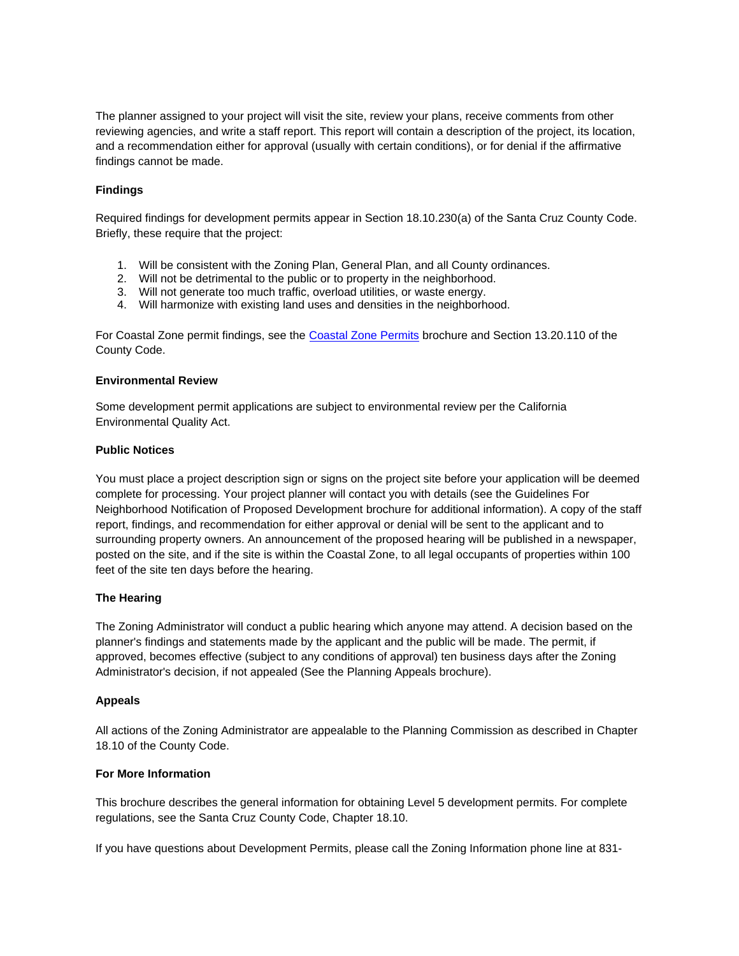The planner assigned to your project will visit the site, review your plans, receive comments from other reviewing agencies, and write a staff report. This report will contain a description of the project, its location, and a recommendation either for approval (usually with certain conditions), or for denial if the affirmative findings cannot be made.

## **Findings**

Required findings for development permits appear in Section 18.10.230(a) of the Santa Cruz County Code. Briefly, these require that the project:

- 1. Will be consistent with the Zoning Plan, General Plan, and all County ordinances.
- 2. Will not be detrimental to the public or to property in the neighborhood.
- 3. Will not generate too much traffic, overload utilities, or waste energy.
- 4. Will harmonize with existing land uses and densities in the neighborhood.

For Coastal Zone permit findings, see the [Coastal Zone Permits](http://www.sccoplanning.com/PlanningHome/ZoningDevelopment/DevelopmentPermits/Level5ZoningAdministratorPermits/CoastalPermits/CoastalZonePermits.aspx) brochure and Section 13.20.110 of the County Code.

#### **Environmental Review**

Some development permit applications are subject to environmental review per the California Environmental Quality Act.

#### **Public Notices**

You must place a project description sign or signs on the project site before your application will be deemed complete for processing. Your project planner will contact you with details (see the Guidelines For Neighborhood Notification of Proposed Development brochure for additional information). A copy of the staff report, findings, and recommendation for either approval or denial will be sent to the applicant and to surrounding property owners. An announcement of the proposed hearing will be published in a newspaper, posted on the site, and if the site is within the Coastal Zone, to all legal occupants of properties within 100 feet of the site ten days before the hearing.

## **The Hearing**

The Zoning Administrator will conduct a public hearing which anyone may attend. A decision based on the planner's findings and statements made by the applicant and the public will be made. The permit, if approved, becomes effective (subject to any conditions of approval) ten business days after the Zoning Administrator's decision, if not appealed (See the Planning Appeals brochure).

## **Appeals**

All actions of the Zoning Administrator are appealable to the Planning Commission as described in Chapter 18.10 of the County Code.

## **For More Information**

This brochure describes the general information for obtaining Level 5 development permits. For complete regulations, see the Santa Cruz County Code, Chapter 18.10.

If you have questions about Development Permits, please call the Zoning Information phone line at 831-